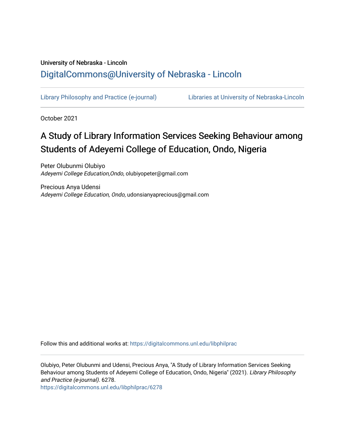### University of Nebraska - Lincoln [DigitalCommons@University of Nebraska - Lincoln](https://digitalcommons.unl.edu/)

[Library Philosophy and Practice \(e-journal\)](https://digitalcommons.unl.edu/libphilprac) [Libraries at University of Nebraska-Lincoln](https://digitalcommons.unl.edu/libraries) 

October 2021

# A Study of Library Information Services Seeking Behaviour among Students of Adeyemi College of Education, Ondo, Nigeria

Peter Olubunmi Olubiyo Adeyemi College Education,Ondo, olubiyopeter@gmail.com

Precious Anya Udensi Adeyemi College Education, Ondo, udonsianyaprecious@gmail.com

Follow this and additional works at: [https://digitalcommons.unl.edu/libphilprac](https://digitalcommons.unl.edu/libphilprac?utm_source=digitalcommons.unl.edu%2Flibphilprac%2F6278&utm_medium=PDF&utm_campaign=PDFCoverPages) 

Olubiyo, Peter Olubunmi and Udensi, Precious Anya, "A Study of Library Information Services Seeking Behaviour among Students of Adeyemi College of Education, Ondo, Nigeria" (2021). Library Philosophy and Practice (e-journal). 6278.

[https://digitalcommons.unl.edu/libphilprac/6278](https://digitalcommons.unl.edu/libphilprac/6278?utm_source=digitalcommons.unl.edu%2Flibphilprac%2F6278&utm_medium=PDF&utm_campaign=PDFCoverPages)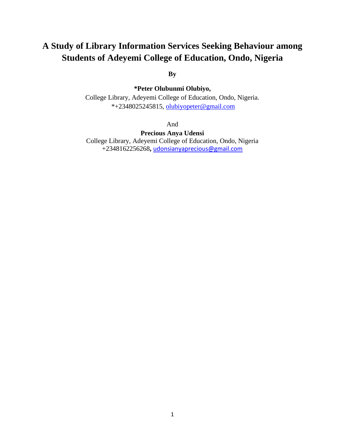## **A Study of Library Information Services Seeking Behaviour among Students of Adeyemi College of Education, Ondo, Nigeria**

**By**

**\*Peter Olubunmi Olubiyo,**

College Library, Adeyemi College of Education, Ondo, Nigeria. \*+2348025245815, [olubiyopeter@gmail.com](mailto:olubiyopeter@gmail.com)

And

**Precious Anya Udensi** College Library, Adeyemi College of Education, Ondo, Nigeria +2348162256268**,** [udonsianyaprecious@gmail.com](mailto:udonsianyaprecious@gmail.com)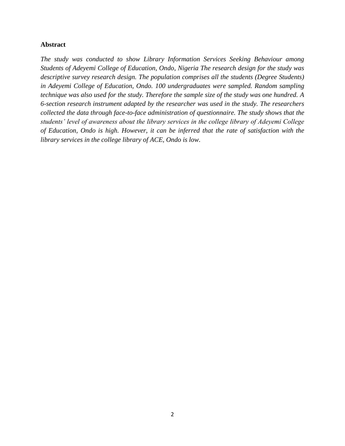#### **Abstract**

*The study was conducted to show Library Information Services Seeking Behaviour among Students of Adeyemi College of Education, Ondo, Nigeria The research design for the study was descriptive survey research design. The population comprises all the students (Degree Students) in Adeyemi College of Education, Ondo. 100 undergraduates were sampled. Random sampling technique was also used for the study. Therefore the sample size of the study was one hundred. A 6-section research instrument adapted by the researcher was used in the study. The researchers collected the data through face-to-face administration of questionnaire. The study shows that the students' level of awareness about the library services in the college library of Adeyemi College of Education, Ondo is high. However, it can be inferred that the rate of satisfaction with the library services in the college library of ACE, Ondo is low.*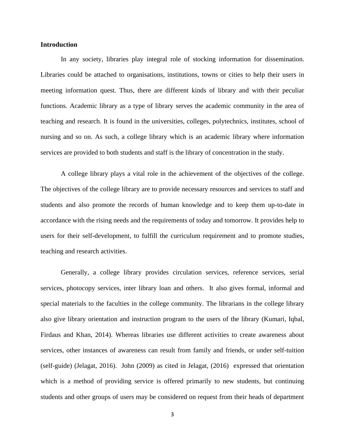#### **Introduction**

In any society, libraries play integral role of stocking information for dissemination. Libraries could be attached to organisations, institutions, towns or cities to help their users in meeting information quest. Thus, there are different kinds of library and with their peculiar functions. Academic library as a type of library serves the academic community in the area of teaching and research. It is found in the universities, colleges, polytechnics, institutes, school of nursing and so on. As such, a college library which is an academic library where information services are provided to both students and staff is the library of concentration in the study.

A college library plays a vital role in the achievement of the objectives of the college. The objectives of the college library are to provide necessary resources and services to staff and students and also promote the records of human knowledge and to keep them up-to-date in accordance with the rising needs and the requirements of today and tomorrow. It provides help to users for their self-development, to fulfill the curriculum requirement and to promote studies, teaching and research activities.

Generally, a college library provides circulation services, reference services, serial services, photocopy services, inter library loan and others. It also gives formal, informal and special materials to the faculties in the college community. The librarians in the college library also give library orientation and instruction program to the users of the library (Kumari, Iqbal, Firdaus and Khan, 2014). Whereas libraries use different activities to create awareness about services, other instances of awareness can result from family and friends, or under self-tuition (self-guide) (Jelagat, 2016). John (2009) as cited in Jelagat, (2016) expressed that orientation which is a method of providing service is offered primarily to new students, but continuing students and other groups of users may be considered on request from their heads of department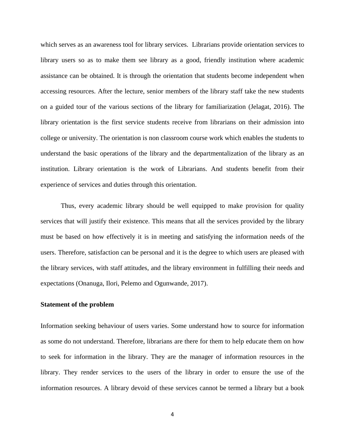which serves as an awareness tool for library services. Librarians provide orientation services to library users so as to make them see library as a good, friendly institution where academic assistance can be obtained. It is through the orientation that students become independent when accessing resources. After the lecture, senior members of the library staff take the new students on a guided tour of the various sections of the library for familiarization (Jelagat, 2016). The library orientation is the first service students receive from librarians on their admission into college or university. The orientation is non classroom course work which enables the students to understand the basic operations of the library and the departmentalization of the library as an institution. Library orientation is the work of Librarians. And students benefit from their experience of services and duties through this orientation.

Thus, every academic library should be well equipped to make provision for quality services that will justify their existence. This means that all the services provided by the library must be based on how effectively it is in meeting and satisfying the information needs of the users. Therefore, satisfaction can be personal and it is the degree to which users are pleased with the library services, with staff attitudes, and the library environment in fulfilling their needs and expectations (Onanuga, Ilori, Pelemo and Ogunwande, 2017).

#### **Statement of the problem**

Information seeking behaviour of users varies. Some understand how to source for information as some do not understand. Therefore, librarians are there for them to help educate them on how to seek for information in the library. They are the manager of information resources in the library. They render services to the users of the library in order to ensure the use of the information resources. A library devoid of these services cannot be termed a library but a book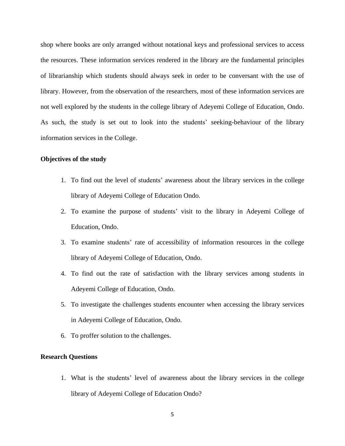shop where books are only arranged without notational keys and professional services to access the resources. These information services rendered in the library are the fundamental principles of librarianship which students should always seek in order to be conversant with the use of library. However, from the observation of the researchers, most of these information services are not well explored by the students in the college library of Adeyemi College of Education, Ondo. As such, the study is set out to look into the students' seeking-behaviour of the library information services in the College.

#### **Objectives of the study**

- 1. To find out the level of students' awareness about the library services in the college library of Adeyemi College of Education Ondo.
- 2. To examine the purpose of students' visit to the library in Adeyemi College of Education, Ondo.
- 3. To examine students' rate of accessibility of information resources in the college library of Adeyemi College of Education, Ondo.
- 4. To find out the rate of satisfaction with the library services among students in Adeyemi College of Education, Ondo.
- 5. To investigate the challenges students encounter when accessing the library services in Adeyemi College of Education, Ondo.
- 6. To proffer solution to the challenges.

#### **Research Questions**

1. What is the students' level of awareness about the library services in the college library of Adeyemi College of Education Ondo?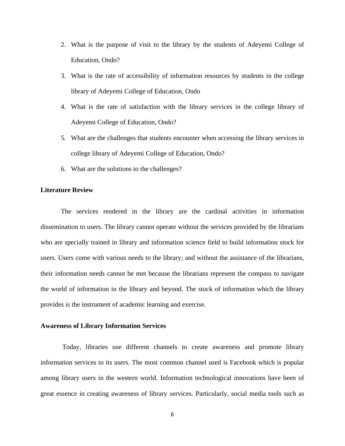- 2. What is the purpose of visit to the library by the students of Adeyemi College of Education, Ondo?
- 3. What is the rate of accessibility of information resources by students in the college library of Adeyemi College of Education, Ondo
- 4. What is the rate of satisfaction with the library services in the college library of Adeyemi College of Education, Ondo?
- 5. What are the challenges that students encounter when accessing the library services in college library of Adeyemi College of Education, Ondo?
- 6. What are the solutions to the challenges?

#### **Literature Review**

The services rendered in the library are the cardinal activities in information dissemination to users. The library cannot operate without the services provided by the librarians who are specially trained in library and information science field to build information stock for users. Users come with various needs to the library; and without the assistance of the librarians, their information needs cannot be met because the librarians represent the compass to navigate the world of information in the library and beyond. The stock of information which the library provides is the instrument of academic learning and exercise.

#### **Awareness of Library Information Services**

Today, libraries use different channels to create awareness and promote library information services to its users. The most common channel used is Facebook which is popular among library users in the western world. Information technological innovations have been of great essence in creating awareness of library services. Particularly, social media tools such as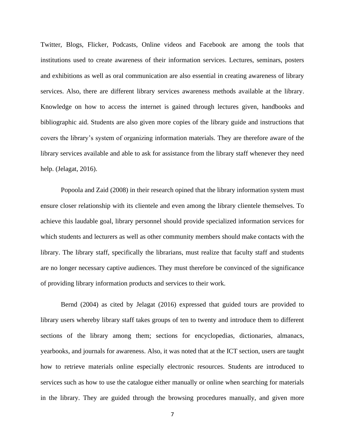Twitter, Blogs, Flicker, Podcasts, Online videos and Facebook are among the tools that institutions used to create awareness of their information services. Lectures, seminars, posters and exhibitions as well as oral communication are also essential in creating awareness of library services. Also, there are different library services awareness methods available at the library. Knowledge on how to access the internet is gained through lectures given, handbooks and bibliographic aid. Students are also given more copies of the library guide and instructions that covers the library's system of organizing information materials. They are therefore aware of the library services available and able to ask for assistance from the library staff whenever they need help. (Jelagat, 2016).

Popoola and Zaid (2008) in their research opined that the library information system must ensure closer relationship with its clientele and even among the library clientele themselves. To achieve this laudable goal, library personnel should provide specialized information services for which students and lecturers as well as other community members should make contacts with the library. The library staff, specifically the librarians, must realize that faculty staff and students are no longer necessary captive audiences. They must therefore be convinced of the significance of providing library information products and services to their work.

Bernd (2004) as cited by Jelagat (2016) expressed that guided tours are provided to library users whereby library staff takes groups of ten to twenty and introduce them to different sections of the library among them; sections for encyclopedias, dictionaries, almanacs, yearbooks, and journals for awareness. Also, it was noted that at the ICT section, users are taught how to retrieve materials online especially electronic resources. Students are introduced to services such as how to use the catalogue either manually or online when searching for materials in the library. They are guided through the browsing procedures manually, and given more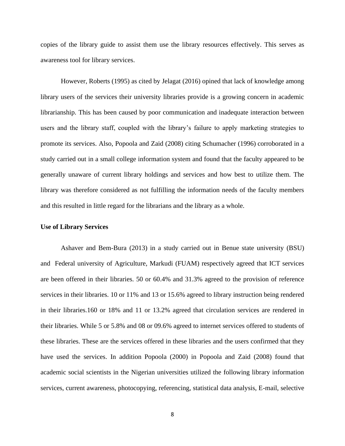copies of the library guide to assist them use the library resources effectively. This serves as awareness tool for library services.

However, Roberts (1995) as cited by Jelagat (2016) opined that lack of knowledge among library users of the services their university libraries provide is a growing concern in academic librarianship. This has been caused by poor communication and inadequate interaction between users and the library staff, coupled with the library's failure to apply marketing strategies to promote its services. Also, Popoola and Zaid (2008) citing Schumacher (1996) corroborated in a study carried out in a small college information system and found that the faculty appeared to be generally unaware of current library holdings and services and how best to utilize them. The library was therefore considered as not fulfilling the information needs of the faculty members and this resulted in little regard for the librarians and the library as a whole.

#### **Use of Library Services**

Ashaver and Bem-Bura (2013) in a study carried out in Benue state university (BSU) and Federal university of Agriculture, Markudi (FUAM) respectively agreed that ICT services are been offered in their libraries. 50 or 60.4% and 31.3% agreed to the provision of reference services in their libraries. 10 or 11% and 13 or 15.6% agreed to library instruction being rendered in their libraries.160 or 18% and 11 or 13.2% agreed that circulation services are rendered in their libraries. While 5 or 5.8% and 08 or 09.6% agreed to internet services offered to students of these libraries. These are the services offered in these libraries and the users confirmed that they have used the services. In addition Popoola (2000) in Popoola and Zaid (2008) found that academic social scientists in the Nigerian universities utilized the following library information services, current awareness, photocopying, referencing, statistical data analysis, E-mail, selective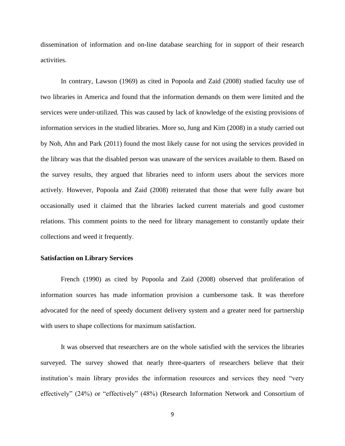dissemination of information and on-line database searching for in support of their research activities.

In contrary, Lawson (1969) as cited in Popoola and Zaid (2008) studied faculty use of two libraries in America and found that the information demands on them were limited and the services were under-utilized. This was caused by lack of knowledge of the existing provisions of information services in the studied libraries. More so, Jung and Kim (2008) in a study carried out by Noh, Ahn and Park (2011) found the most likely cause for not using the services provided in the library was that the disabled person was unaware of the services available to them. Based on the survey results, they argued that libraries need to inform users about the services more actively. However, Popoola and Zaid (2008) reiterated that those that were fully aware but occasionally used it claimed that the libraries lacked current materials and good customer relations. This comment points to the need for library management to constantly update their collections and weed it frequently.

#### **Satisfaction on Library Services**

French (1990) as cited by Popoola and Zaid (2008) observed that proliferation of information sources has made information provision a cumbersome task. It was therefore advocated for the need of speedy document delivery system and a greater need for partnership with users to shape collections for maximum satisfaction.

It was observed that researchers are on the whole satisfied with the services the libraries surveyed. The survey showed that nearly three-quarters of researchers believe that their institution's main library provides the information resources and services they need "very effectively" (24%) or "effectively" (48%) (Research Information Network and Consortium of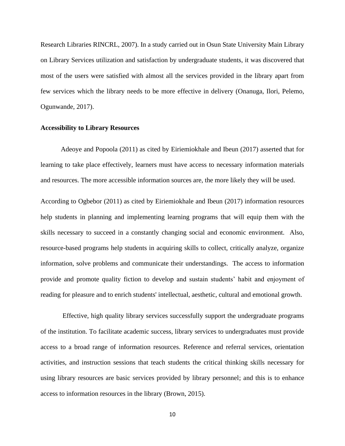Research Libraries RINCRL, 2007). In a study carried out in Osun State University Main Library on Library Services utilization and satisfaction by undergraduate students, it was discovered that most of the users were satisfied with almost all the services provided in the library apart from few services which the library needs to be more effective in delivery (Onanuga, Ilori, Pelemo, Ogunwande, 2017).

#### **Accessibility to Library Resources**

Adeoye and Popoola (2011) as cited by Eiriemiokhale and Ibeun (2017) asserted that for learning to take place effectively, learners must have access to necessary information materials and resources. The more accessible information sources are, the more likely they will be used.

According to Ogbebor (2011) as cited by Eiriemiokhale and Ibeun (2017) information resources help students in planning and implementing learning programs that will equip them with the skills necessary to succeed in a constantly changing social and economic environment. Also, resource-based programs help students in acquiring skills to collect, critically analyze, organize information, solve problems and communicate their understandings. The access to information provide and promote quality fiction to develop and sustain students' habit and enjoyment of reading for pleasure and to enrich students' intellectual, aesthetic, cultural and emotional growth.

Effective, high quality library services successfully support the undergraduate programs of the institution. To facilitate academic success, library services to undergraduates must provide access to a broad range of information resources. Reference and referral services, orientation activities, and instruction sessions that teach students the critical thinking skills necessary for using library resources are basic services provided by library personnel; and this is to enhance access to information resources in the library (Brown, 2015).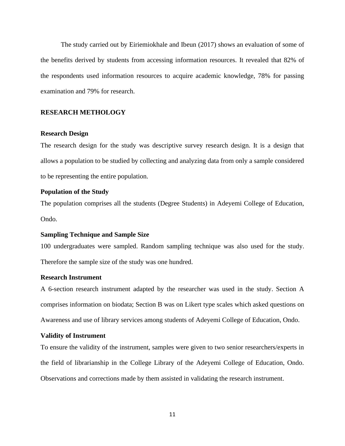The study carried out by Eiriemiokhale and Ibeun (2017) shows an evaluation of some of the benefits derived by students from accessing information resources. It revealed that 82% of the respondents used information resources to acquire academic knowledge, 78% for passing examination and 79% for research.

#### **RESEARCH METHOLOGY**

#### **Research Design**

The research design for the study was descriptive survey research design. It is a design that allows a population to be studied by collecting and analyzing data from only a sample considered to be representing the entire population.

#### **Population of the Study**

The population comprises all the students (Degree Students) in Adeyemi College of Education, Ondo.

#### **Sampling Technique and Sample Size**

100 undergraduates were sampled. Random sampling technique was also used for the study. Therefore the sample size of the study was one hundred.

#### **Research Instrument**

A 6-section research instrument adapted by the researcher was used in the study. Section A comprises information on biodata; Section B was on Likert type scales which asked questions on Awareness and use of library services among students of Adeyemi College of Education, Ondo.

#### **Validity of Instrument**

To ensure the validity of the instrument, samples were given to two senior researchers/experts in the field of librarianship in the College Library of the Adeyemi College of Education, Ondo. Observations and corrections made by them assisted in validating the research instrument.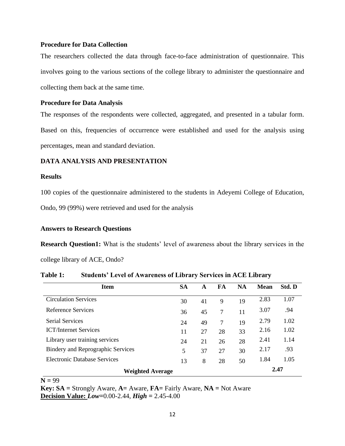#### **Procedure for Data Collection**

The researchers collected the data through face-to-face administration of questionnaire. This involves going to the various sections of the college library to administer the questionnaire and collecting them back at the same time.

#### **Procedure for Data Analysis**

The responses of the respondents were collected, aggregated, and presented in a tabular form. Based on this, frequencies of occurrence were established and used for the analysis using percentages, mean and standard deviation.

#### **DATA ANALYSIS AND PRESENTATION**

#### **Results**

100 copies of the questionnaire administered to the students in Adeyemi College of Education, Ondo, 99 (99%) were retrieved and used for the analysis

#### **Answers to Research Questions**

**Research Question1:** What is the students' level of awareness about the library services in the college library of ACE, Ondo?

| <b>Item</b>                              | <b>SA</b> | A  | FA | <b>NA</b> | <b>Mean</b> | Std. D |
|------------------------------------------|-----------|----|----|-----------|-------------|--------|
| <b>Circulation Services</b>              | 30        | 41 | 9  | 19        | 2.83        | 1.07   |
| Reference Services                       | 36        | 45 | 7  | 11        | 3.07        | .94    |
| <b>Serial Services</b>                   | 24        | 49 | 7  | 19        | 2.79        | 1.02   |
| <b>ICT/Internet Services</b>             | 11        | 27 | 28 | 33        | 2.16        | 1.02   |
| Library user training services           | 24        | 21 | 26 | 28        | 2.41        | 1.14   |
| <b>Bindery and Reprographic Services</b> | 5         | 37 | 27 | 30        | 2.17        | .93    |
| Electronic Database Services             | 13        | 8  | 28 | 50        | 1.84        | 1.05   |
| <b>Weighted Average</b>                  |           |    |    |           |             | 2.47   |

**Table 1: Students' Level of Awareness of Library Services in ACE Library**

 $N = 99$ 

**Key: SA =** Strongly Aware, **A=** Aware, **FA=** Fairly Aware, **NA =** Not Aware **Decision Value:** *Low=*0.00-2.44, *High =* 2.45-4.00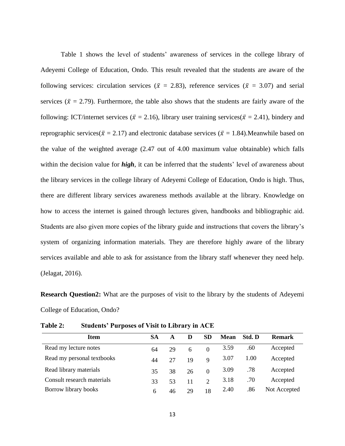Table 1 shows the level of students' awareness of services in the college library of Adeyemi College of Education, Ondo. This result revealed that the students are aware of the following services: circulation services ( $\bar{x}$  = 2.83), reference services ( $\bar{x}$  = 3.07) and serial services ( $\bar{x}$  = 2.79). Furthermore, the table also shows that the students are fairly aware of the following: ICT/internet services ( $\bar{x} = 2.16$ ), library user training services( $\bar{x} = 2.41$ ), bindery and reprographic services( $\bar{x} = 2.17$ ) and electronic database services ( $\bar{x} = 1.84$ ). Meanwhile based on the value of the weighted average (2.47 out of 4.00 maximum value obtainable) which falls within the decision value for **high**, it can be inferred that the students' level of awareness about the library services in the college library of Adeyemi College of Education, Ondo is high. Thus, there are different library services awareness methods available at the library. Knowledge on how to access the internet is gained through lectures given, handbooks and bibliographic aid. Students are also given more copies of the library guide and instructions that covers the library's system of organizing information materials. They are therefore highly aware of the library services available and able to ask for assistance from the library staff whenever they need help. (Jelagat, 2016).

**Research Question2:** What are the purposes of visit to the library by the students of Adeyemi College of Education, Ondo?

| Item                       | SА | A  | D  | SD                          | Mean | Std. D | <b>Remark</b> |
|----------------------------|----|----|----|-----------------------------|------|--------|---------------|
| Read my lecture notes      | 64 | 29 | 6  | $\Omega$                    | 3.59 | .60    | Accepted      |
| Read my personal textbooks | 44 | 27 | 19 | $\mathbf Q$                 | 3.07 | 1.00   | Accepted      |
| Read library materials     | 35 | 38 | 26 | $\Omega$                    | 3.09 | .78    | Accepted      |
| Consult research materials | 33 | 53 | 11 | $\mathcal{D}_{\mathcal{L}}$ | 3.18 | .70    | Accepted      |
| Borrow library books       | 6  | 46 | 29 | 18                          | 2.40 | .86    | Not Accepted  |

**Table 2: Students' Purposes of Visit to Library in ACE**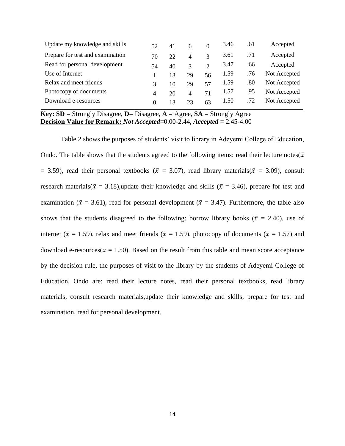| 52       | 41 | 6  | $\Omega$      | 3.46 | .61 | Accepted     |
|----------|----|----|---------------|------|-----|--------------|
| 70       | 22 | 4  | 3             | 3.61 | .71 | Accepted     |
| 54       | 40 | 3  | $\mathcal{D}$ | 3.47 | .66 | Accepted     |
|          | 13 | 29 | 56            | 1.59 | .76 | Not Accepted |
| 3        | 10 | 29 | 57            | 1.59 | .80 | Not Accepted |
| 4        | 20 | 4  | 71            | 1.57 | .95 | Not Accepted |
| $\Omega$ | 13 | 23 | 63            | 1.50 | .72 | Not Accepted |
|          |    |    |               |      |     |              |

**Key: SD =** Strongly Disagree, **D=** Disagree, **A =** Agree, **SA =** Strongly Agree **Decision Value for Remark:** *Not Accepted=*0.00-2.44, *Accepted =* 2.45-4.00

Table 2 shows the purposes of students' visit to library in Adeyemi College of Education, Ondo. The table shows that the students agreed to the following items: read their lecture notes( $\bar{x}$ ) = 3.59), read their personal textbooks ( $\bar{x}$  = 3.07), read library materials( $\bar{x}$  = 3.09), consult research materials( $\bar{x} = 3.18$ ),update their knowledge and skills ( $\bar{x} = 3.46$ ), prepare for test and examination ( $\bar{x}$  = 3.61), read for personal development ( $\bar{x}$  = 3.47). Furthermore, the table also shows that the students disagreed to the following: borrow library books ( $\bar{x}$  = 2.40), use of internet ( $\bar{x}$  = 1.59), relax and meet friends ( $\bar{x}$  = 1.59), photocopy of documents ( $\bar{x}$  = 1.57) and download e-resources( $\bar{x} = 1.50$ ). Based on the result from this table and mean score acceptance by the decision rule, the purposes of visit to the library by the students of Adeyemi College of Education, Ondo are: read their lecture notes, read their personal textbooks, read library materials, consult research materials,update their knowledge and skills, prepare for test and examination, read for personal development.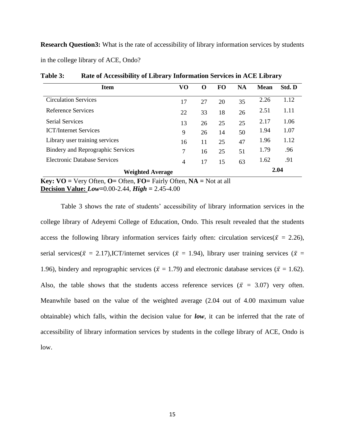**Research Question3:** What is the rate of accessibility of library information services by students in the college library of ACE, Ondo?

| <b>Item</b>                              | VO             | $\Omega$ | FO. | <b>NA</b> | <b>Mean</b> | Std. D |
|------------------------------------------|----------------|----------|-----|-----------|-------------|--------|
| <b>Circulation Services</b>              | 17             | 27       | 20  | 35        | 2.26        | 1.12   |
| Reference Services                       | 22             | 33       | 18  | 26        | 2.51        | 1.11   |
| <b>Serial Services</b>                   | 13             | 26       | 25  | 25        | 2.17        | 1.06   |
| <b>ICT/Internet Services</b>             | 9              | 26       | 14  | 50        | 1.94        | 1.07   |
| Library user training services           | 16             | 11       | 25  | 47        | 1.96        | 1.12   |
| <b>Bindery and Reprographic Services</b> | 7              | 16       | 25  | 51        | 1.79        | .96    |
| Electronic Database Services             | $\overline{4}$ | 17       | 15  | 63        | 1.62        | .91    |
| <b>Weighted Average</b>                  |                |          |     |           |             | 2.04   |

**Table 3: Rate of Accessibility of Library Information Services in ACE Library**

**Key:**  $VO = V$ ery Often,  $O =$  Often,  $FO =$  Fairly Often,  $NA = Not$  at all **Decision Value:** *Low=*0.00-2.44, *High =* 2.45-4.00

Table 3 shows the rate of students' accessibility of library information services in the college library of Adeyemi College of Education, Ondo. This result revealed that the students access the following library information services fairly often: circulation services( $\bar{x} = 2.26$ ), serial services( $\bar{x} = 2.17$ ),ICT/internet services ( $\bar{x} = 1.94$ ), library user training services ( $\bar{x} =$ 1.96), bindery and reprographic services ( $\bar{x} = 1.79$ ) and electronic database services ( $\bar{x} = 1.62$ ). Also, the table shows that the students access reference services ( $\bar{x}$  = 3.07) very often. Meanwhile based on the value of the weighted average (2.04 out of 4.00 maximum value obtainable) which falls, within the decision value for *low*, it can be inferred that the rate of accessibility of library information services by students in the college library of ACE, Ondo is low.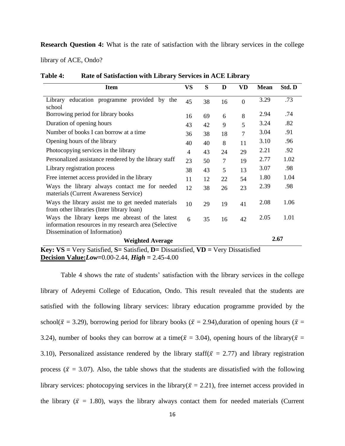**Research Question 4:** What is the rate of satisfaction with the library services in the college

library of ACE, Ondo?

| 38<br>45<br>69<br>16<br>43<br>42<br>38<br>36<br>40<br>40<br>43<br>4 | 16<br>6<br>9<br>18<br>8<br>24 | $\overline{0}$<br>8<br>5<br>7<br>11 | 3.29<br>2.94<br>3.24<br>3.04<br>3.10 | .73<br>.74<br>.82<br>.91<br>.96                                  |  |  |
|---------------------------------------------------------------------|-------------------------------|-------------------------------------|--------------------------------------|------------------------------------------------------------------|--|--|
|                                                                     |                               |                                     |                                      |                                                                  |  |  |
|                                                                     |                               |                                     |                                      |                                                                  |  |  |
|                                                                     |                               |                                     |                                      |                                                                  |  |  |
|                                                                     |                               |                                     |                                      |                                                                  |  |  |
|                                                                     |                               |                                     |                                      |                                                                  |  |  |
|                                                                     |                               | 29                                  | 2.21                                 | .92                                                              |  |  |
| 23                                                                  | 7                             | 19                                  | 2.77                                 | 1.02                                                             |  |  |
| 38                                                                  | 5                             | 13                                  | 3.07                                 | .98                                                              |  |  |
| 11                                                                  | 22                            | 54                                  | 1.80                                 | 1.04                                                             |  |  |
| 12                                                                  | 26                            | 23                                  | 2.39                                 | .98                                                              |  |  |
| 10                                                                  | 19                            | 41                                  | 2.08                                 | 1.06                                                             |  |  |
| 6                                                                   | 16                            | 42                                  | 2.05                                 | 1.01                                                             |  |  |
| Dissemination of Information)<br><b>Weighted Average</b>            |                               |                                     |                                      |                                                                  |  |  |
|                                                                     |                               | 50<br>43<br>12<br>38<br>29<br>35    |                                      | 2.67<br>Very fatation of fatation Discovered VD, Very Discovered |  |  |

**Table 4: Rate of Satisfaction with Library Services in ACE Library**

**Key: VS =** Very Satisfied, **S=** Satisfied, **D=** Dissatisfied, **VD =** Very Dissatisfied **Decision Value:***Low=*0.00-2.44, *High =* 2.45-4.00

Table 4 shows the rate of students' satisfaction with the library services in the college library of Adeyemi College of Education, Ondo. This result revealed that the students are satisfied with the following library services: library education programme provided by the school( $\bar{x}$  = 3.29), borrowing period for library books ( $\bar{x}$  = 2.94), duration of opening hours ( $\bar{x}$  = 3.24), number of books they can borrow at a time( $\bar{x}$  = 3.04), opening hours of the library( $\bar{x}$  = 3.10), Personalized assistance rendered by the library staff( $\bar{x} = 2.77$ ) and library registration process ( $\bar{x}$  = 3.07). Also, the table shows that the students are dissatisfied with the following library services: photocopying services in the library( $\bar{x} = 2.21$ ), free internet access provided in the library ( $\bar{x}$  = 1.80), ways the library always contact them for needed materials (Current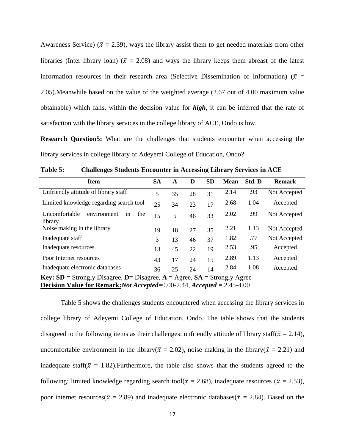Awareness Service) ( $\bar{x}$  = 2.39), ways the library assist them to get needed materials from other libraries (Inter library loan) ( $\bar{x}$  = 2.08) and ways the library keeps them abreast of the latest information resources in their research area (Selective Dissemination of Information) ( $\bar{x}$  = 2.05).Meanwhile based on the value of the weighted average (2.67 out of 4.00 maximum value obtainable) which falls, within the decision value for *high*, it can be inferred that the rate of satisfaction with the library services in the college library of ACE, Ondo is low.

**Research Question5:** What are the challenges that students encounter when accessing the library services in college library of Adeyemi College of Education, Ondo?

| <b>Item</b>                                          | <b>SA</b> | A  | D  | <b>SD</b> | <b>Mean</b> | Std. D | <b>Remark</b> |
|------------------------------------------------------|-----------|----|----|-----------|-------------|--------|---------------|
| Unfriendly attitude of library staff                 | 5         | 35 | 28 | 31        | 2.14        | .93    | Not Accepted  |
| Limited knowledge regarding search tool              | 25        | 34 | 23 | 17        | 2.68        | 1.04   | Accepted      |
| environment<br>Uncomfortable<br>the<br>1n<br>library | 15        | 5  | 46 | 33        | 2.02        | .99    | Not Accepted  |
| Noise making in the library                          | 19        | 18 | 27 | 35        | 2.21        | 1.13   | Not Accepted  |
| Inadequate staff                                     | 3         | 13 | 46 | 37        | 1.82        | .77    | Not Accepted  |
| Inadequate resources                                 | 13        | 45 | 22 | 19        | 2.53        | .95    | Accepted      |
| Poor Internet resources                              | 43        | 17 | 24 | 15        | 2.89        | 1.13   | Accepted      |
| Inadequate electronic databases                      | 36        | 25 | 24 | 14        | 2.84        | 1.08   | Accepted      |

**Table 5: Challenges Students Encounter in Accessing Library Services in ACE**

**Key: SD =** Strongly Disagree, **D=** Disagree, **A =** Agree, **SA =** Strongly Agree **Decision Value for Remark:***Not Accepted=*0.00-2.44, *Accepted =* 2.45-4.00

Table 5 shows the challenges students encountered when accessing the library services in college library of Adeyemi College of Education, Ondo. The table shows that the students disagreed to the following items as their challenges: unfriendly attitude of library staff( $\bar{x} = 2.14$ ), uncomfortable environment in the library( $\bar{x} = 2.02$ ), noise making in the library( $\bar{x} = 2.21$ ) and inadequate staff( $\bar{x} = 1.82$ ). Furthermore, the table also shows that the students agreed to the following: limited knowledge regarding search tool( $\bar{x} = 2.68$ ), inadequate resources ( $\bar{x} = 2.53$ ), poor internet resources( $\bar{x} = 2.89$ ) and inadequate electronic databases( $\bar{x} = 2.84$ ). Based on the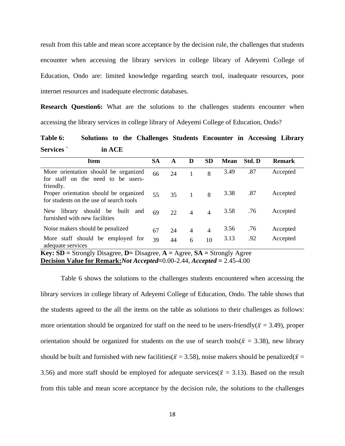result from this table and mean score acceptance by the decision rule, the challenges that students encounter when accessing the library services in college library of Adeyemi College of Education, Ondo are: limited knowledge regarding search tool, inadequate resources, poor internet resources and inadequate electronic databases.

**Research Question6:** What are the solutions to the challenges students encounter when accessing the library services in college library of Adeyemi College of Education, Ondo?

### **Table 6: Solutions to the Challenges Students Encounter in Accessing Library Services ` in ACE**

| <b>Item</b>                                                                             | SА | A  | D                        | <b>SD</b>      | <b>Mean</b> | Std. D | <b>Remark</b> |
|-----------------------------------------------------------------------------------------|----|----|--------------------------|----------------|-------------|--------|---------------|
| More orientation should be organized<br>for staff on the need to be users-<br>friendly. | 66 | 24 |                          | 8              | 3.49        | .87    | Accepted      |
| Proper orientation should be organized<br>for students on the use of search tools       | 55 | 35 | $\overline{1}$           | 8              | 3.38        | .87    | Accepted      |
| should be built and<br>New<br>library<br>furnished with new facilities                  | 69 | 22 | $\overline{\mathcal{A}}$ | $\overline{4}$ | 3.58        | .76    | Accepted      |
| Noise makers should be penalized                                                        | 67 | 24 | $\overline{4}$           | $\overline{4}$ | 3.56        | .76    | Accepted      |
| More staff should be employed for<br>adequate services                                  | 39 | 44 | 6                        | 10             | 3.13        | .92    | Accepted      |

**Key: SD =** Strongly Disagree, **D=** Disagree, **A =** Agree, **SA =** Strongly Agree **Decision Value for Remark:***Not Accepted=*0.00-2.44, *Accepted =* 2.45-4.00

Table 6 shows the solutions to the challenges students encountered when accessing the library services in college library of Adeyemi College of Education, Ondo. The table shows that the students agreed to the all the items on the table as solutions to their challenges as follows: more orientation should be organized for staff on the need to be users-friendly( $\bar{x}$  = 3.49), proper orientation should be organized for students on the use of search tools( $\bar{x}$  = 3.38), new library should be built and furnished with new facilities( $\bar{x}$  = 3.58), noise makers should be penalized( $\bar{x}$  = 3.56) and more staff should be employed for adequate services( $\bar{x}$  = 3.13). Based on the result from this table and mean score acceptance by the decision rule, the solutions to the challenges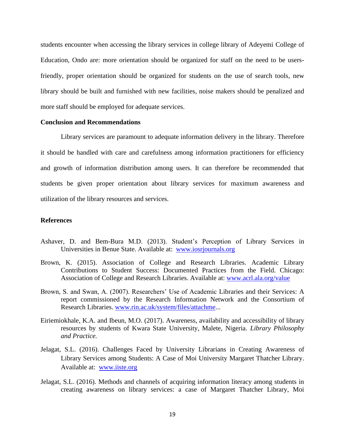students encounter when accessing the library services in college library of Adeyemi College of Education, Ondo are: more orientation should be organized for staff on the need to be usersfriendly, proper orientation should be organized for students on the use of search tools, new library should be built and furnished with new facilities, noise makers should be penalized and more staff should be employed for adequate services.

#### **Conclusion and Recommendations**

Library services are paramount to adequate information delivery in the library. Therefore it should be handled with care and carefulness among information practitioners for efficiency and growth of information distribution among users. It can therefore be recommended that students be given proper orientation about library services for maximum awareness and utilization of the library resources and services.

#### **References**

- Ashaver, D. and Bem-Bura M.D. (2013). Student's Perception of Library Services in Universities in Benue State. Available at: [www.iosrjournals.org](http://www.iosrjournals.org/)
- Brown, K. (2015). Association of College and Research Libraries. Academic Library Contributions to Student Success: Documented Practices from the Field. Chicago: Association of College and Research Libraries. Available at: [www.acrl.ala.org/value](http://www.acrl.ala.org/value)
- Brown, S. and Swan, A. (2007). Researchers' Use of Academic Libraries and their Services: A report commissioned by the Research Information Network and the Consortium of Research Libraries. [www.rin.ac.uk/system/files/attachme.](http://www.rin.ac.uk/system/files/attachme)..
- Eiriemiokhale, K.A. and Ibeun, M.O. (2017). Awareness, availability and accessibility of library resources by students of Kwara State University, Malete, Nigeria*. Library Philosophy and Practice.*
- Jelagat, S.L. (2016). Challenges Faced by University Librarians in Creating Awareness of Library Services among Students: A Case of Moi University Margaret Thatcher Library. Available at: [www.iiste.org](http://www.iiste.org/)
- Jelagat, S.L. (2016). Methods and channels of acquiring information literacy among students in creating awareness on library services: a case of Margaret Thatcher Library, Moi